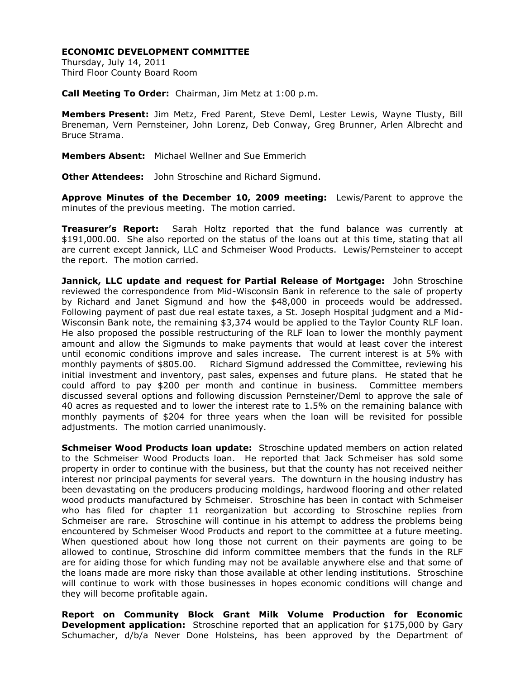## **ECONOMIC DEVELOPMENT COMMITTEE**

Thursday, July 14, 2011 Third Floor County Board Room

**Call Meeting To Order:** Chairman, Jim Metz at 1:00 p.m.

**Members Present:** Jim Metz, Fred Parent, Steve Deml, Lester Lewis, Wayne Tlusty, Bill Breneman, Vern Pernsteiner, John Lorenz, Deb Conway, Greg Brunner, Arlen Albrecht and Bruce Strama.

**Members Absent:** Michael Wellner and Sue Emmerich

**Other Attendees:** John Stroschine and Richard Sigmund.

**Approve Minutes of the December 10, 2009 meeting:** Lewis/Parent to approve the minutes of the previous meeting. The motion carried.

**Treasurer's Report:** Sarah Holtz reported that the fund balance was currently at \$191,000.00. She also reported on the status of the loans out at this time, stating that all are current except Jannick, LLC and Schmeiser Wood Products. Lewis/Pernsteiner to accept the report. The motion carried.

**Jannick, LLC update and request for Partial Release of Mortgage:** John Stroschine reviewed the correspondence from Mid-Wisconsin Bank in reference to the sale of property by Richard and Janet Sigmund and how the \$48,000 in proceeds would be addressed. Following payment of past due real estate taxes, a St. Joseph Hospital judgment and a Mid-Wisconsin Bank note, the remaining \$3,374 would be applied to the Taylor County RLF loan. He also proposed the possible restructuring of the RLF loan to lower the monthly payment amount and allow the Sigmunds to make payments that would at least cover the interest until economic conditions improve and sales increase. The current interest is at 5% with monthly payments of \$805.00. Richard Sigmund addressed the Committee, reviewing his initial investment and inventory, past sales, expenses and future plans. He stated that he could afford to pay \$200 per month and continue in business. Committee members discussed several options and following discussion Pernsteiner/Deml to approve the sale of 40 acres as requested and to lower the interest rate to 1.5% on the remaining balance with monthly payments of \$204 for three years when the loan will be revisited for possible adjustments. The motion carried unanimously.

**Schmeiser Wood Products loan update:** Stroschine updated members on action related to the Schmeiser Wood Products loan. He reported that Jack Schmeiser has sold some property in order to continue with the business, but that the county has not received neither interest nor principal payments for several years. The downturn in the housing industry has been devastating on the producers producing moldings, hardwood flooring and other related wood products manufactured by Schmeiser. Stroschine has been in contact with Schmeiser who has filed for chapter 11 reorganization but according to Stroschine replies from Schmeiser are rare. Stroschine will continue in his attempt to address the problems being encountered by Schmeiser Wood Products and report to the committee at a future meeting. When questioned about how long those not current on their payments are going to be allowed to continue, Stroschine did inform committee members that the funds in the RLF are for aiding those for which funding may not be available anywhere else and that some of the loans made are more risky than those available at other lending institutions. Stroschine will continue to work with those businesses in hopes economic conditions will change and they will become profitable again.

**Report on Community Block Grant Milk Volume Production for Economic Development application:** Stroschine reported that an application for \$175,000 by Gary Schumacher, d/b/a Never Done Holsteins, has been approved by the Department of